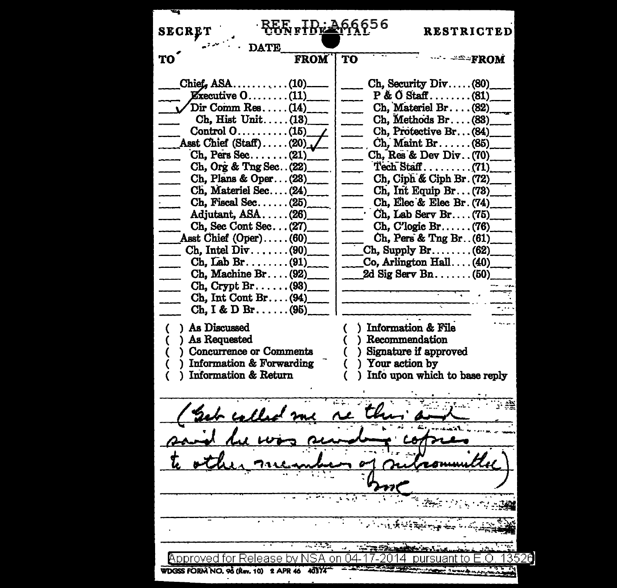| <b>SECRE</b><br><b>DATE</b>                                                                                                                                                                                                                                                                                                                                                                                                                                                                                                                                                                              |             | Ӏҍ <del>ҬӢӄ҈Ѣ</del> ҃҈ҏӃ҃ѻ҅҄҄҄ҏѻ | <b>RESTRICTED</b>                                                                                                                                                                                                                                                                                                                                                                                                                                      |
|----------------------------------------------------------------------------------------------------------------------------------------------------------------------------------------------------------------------------------------------------------------------------------------------------------------------------------------------------------------------------------------------------------------------------------------------------------------------------------------------------------------------------------------------------------------------------------------------------------|-------------|----------------------------------|--------------------------------------------------------------------------------------------------------------------------------------------------------------------------------------------------------------------------------------------------------------------------------------------------------------------------------------------------------------------------------------------------------------------------------------------------------|
| <b>TO</b>                                                                                                                                                                                                                                                                                                                                                                                                                                                                                                                                                                                                | <b>FROM</b> | TO                               | <del>=≏</del> ÷fROM                                                                                                                                                                                                                                                                                                                                                                                                                                    |
| Chief, $ASA$ (10).<br><b>Executive <math>0</math></b> (11)<br>Dir Comm Res (14)<br>$Ch.$ Hist Unit $(13)$<br>Control $0 \ldots \ldots \ldots (15)$<br>Asst Chief $(Stat) \dots (20)$ ,<br>$Ch$ , Pers Sec (21)<br>Ch, Org & Tng Sec. . (22)<br>Ch, Plans & Oper(23)<br>Ch, Materiel Sec(24)<br>$Ch,$ Fiscal Sec $(25)$<br>$\overline{a}$<br>Adjutant, ASA(26)<br>Ch, Sec Cont Sec(27)<br>Asst Chief $(Oper) \dots (60)$<br>Ch. Intel $Div \dots (90)$<br>$Ch, Lab Br.$ (91)<br>$Ch, Machine Br. \ldots (92)$<br>$\chi$ Ch, Crypt Br(93)<br>$Ch, Int Cont Br. \ldots (94)$<br>$Ch, I & D Br. \ldots (95)$ |             |                                  | $Ch$ , Security Div $(80)$<br>$P & O$ Staff(81)<br>Ch. Materiel Br. (82)<br>Ch. Methods Br(83)<br>Ch, Protective Br(84)<br>$Ch,$ Maint Br $(85)$<br>Ch, Res & Dev Div. (70)<br>$Ch$ , Ciph & Ciph Br. $(72)$<br>$Ch, Int$ Equip Br $(73)$<br>Ch, Elec & Elec Br. (74)<br>Ch, Lab Serv Br (75)<br>$Ch, C'logic Br. \ldots (76)$<br>Ch, Pers & Tng Br. . (61)<br>$Ch$ , Supply Br(62)<br>$\text{Co, Arlington Hall} \dots (40)$<br>2d Sig Serv Bn $(50)$ |
| ) As Discussed<br>) As Requested<br>Concurrence or Comments<br>Information & Forwarding<br>Information & Return                                                                                                                                                                                                                                                                                                                                                                                                                                                                                          |             |                                  | Information & File<br>) Recommendation<br>) Signature if approved<br>) Your action by<br>) Info upon which to base reply                                                                                                                                                                                                                                                                                                                               |
| <u>h calls</u>                                                                                                                                                                                                                                                                                                                                                                                                                                                                                                                                                                                           |             |                                  |                                                                                                                                                                                                                                                                                                                                                                                                                                                        |
|                                                                                                                                                                                                                                                                                                                                                                                                                                                                                                                                                                                                          |             |                                  |                                                                                                                                                                                                                                                                                                                                                                                                                                                        |
|                                                                                                                                                                                                                                                                                                                                                                                                                                                                                                                                                                                                          |             |                                  |                                                                                                                                                                                                                                                                                                                                                                                                                                                        |
|                                                                                                                                                                                                                                                                                                                                                                                                                                                                                                                                                                                                          |             |                                  |                                                                                                                                                                                                                                                                                                                                                                                                                                                        |
|                                                                                                                                                                                                                                                                                                                                                                                                                                                                                                                                                                                                          |             |                                  |                                                                                                                                                                                                                                                                                                                                                                                                                                                        |
|                                                                                                                                                                                                                                                                                                                                                                                                                                                                                                                                                                                                          |             |                                  |                                                                                                                                                                                                                                                                                                                                                                                                                                                        |
|                                                                                                                                                                                                                                                                                                                                                                                                                                                                                                                                                                                                          |             | <b>WESTERN START</b>             |                                                                                                                                                                                                                                                                                                                                                                                                                                                        |
| pproved for Release by<br>WDGSS FORM NO. 96 (Rev. 10) 2 APR 46 40374                                                                                                                                                                                                                                                                                                                                                                                                                                                                                                                                     |             |                                  |                                                                                                                                                                                                                                                                                                                                                                                                                                                        |
|                                                                                                                                                                                                                                                                                                                                                                                                                                                                                                                                                                                                          |             |                                  |                                                                                                                                                                                                                                                                                                                                                                                                                                                        |